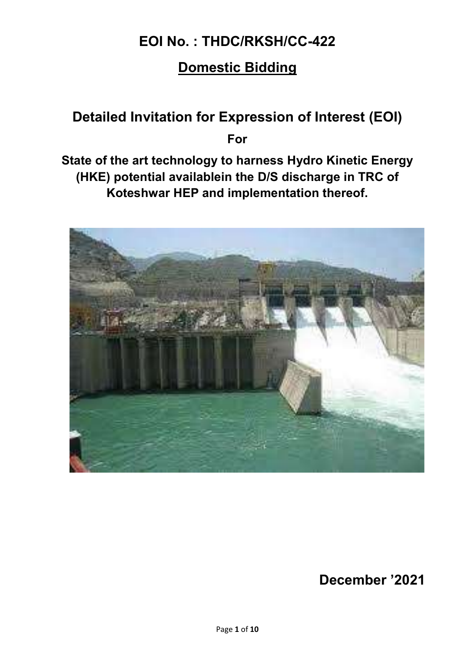# EOI No. : THDC/RKSH/CC-422

# Domestic Bidding

# Detailed Invitation for Expression of Interest (EOI) For

State of the art technology to harness Hydro Kinetic Energy (HKE) potential availablein the D/S discharge in TRC of Koteshwar HEP and implementation thereof.



December '2021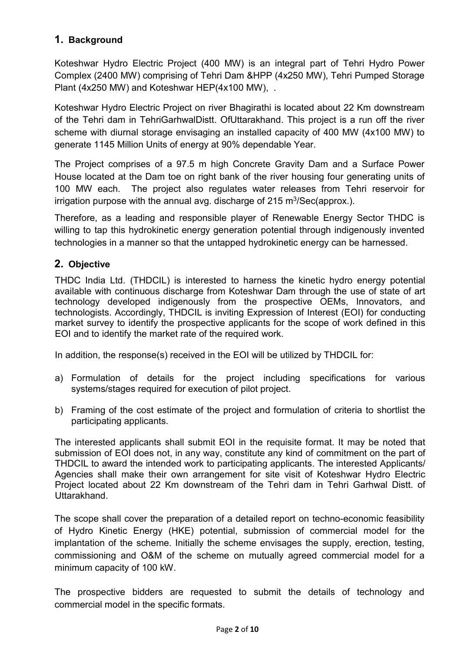## 1. Background

Koteshwar Hydro Electric Project (400 MW) is an integral part of Tehri Hydro Power Complex (2400 MW) comprising of Tehri Dam &HPP (4x250 MW), Tehri Pumped Storage Plant (4x250 MW) and Koteshwar HEP(4x100 MW), .

Koteshwar Hydro Electric Project on river Bhagirathi is located about 22 Km downstream of the Tehri dam in TehriGarhwalDistt. OfUttarakhand. This project is a run off the river scheme with diurnal storage envisaging an installed capacity of 400 MW (4x100 MW) to generate 1145 Million Units of energy at 90% dependable Year.

The Project comprises of a 97.5 m high Concrete Gravity Dam and a Surface Power House located at the Dam toe on right bank of the river housing four generating units of 100 MW each. The project also regulates water releases from Tehri reservoir for irrigation purpose with the annual avg. discharge of 215 m $\mathrm{^{3}/Sec}($ approx.).

Therefore, as a leading and responsible player of Renewable Energy Sector THDC is willing to tap this hydrokinetic energy generation potential through indigenously invented technologies in a manner so that the untapped hydrokinetic energy can be harnessed.

### 2. Objective

THDC India Ltd. (THDCIL) is interested to harness the kinetic hydro energy potential available with continuous discharge from Koteshwar Dam through the use of state of art technology developed indigenously from the prospective OEMs, Innovators, and technologists. Accordingly, THDCIL is inviting Expression of Interest (EOI) for conducting market survey to identify the prospective applicants for the scope of work defined in this EOI and to identify the market rate of the required work.

In addition, the response(s) received in the EOI will be utilized by THDCIL for:

- a) Formulation of details for the project including specifications for various systems/stages required for execution of pilot project.
- b) Framing of the cost estimate of the project and formulation of criteria to shortlist the participating applicants.

The interested applicants shall submit EOI in the requisite format. It may be noted that submission of EOI does not, in any way, constitute any kind of commitment on the part of THDCIL to award the intended work to participating applicants. The interested Applicants/ Agencies shall make their own arrangement for site visit of Koteshwar Hydro Electric Project located about 22 Km downstream of the Tehri dam in Tehri Garhwal Distt. of Uttarakhand.

The scope shall cover the preparation of a detailed report on techno-economic feasibility of Hydro Kinetic Energy (HKE) potential, submission of commercial model for the implantation of the scheme. Initially the scheme envisages the supply, erection, testing, commissioning and O&M of the scheme on mutually agreed commercial model for a minimum capacity of 100 kW.

The prospective bidders are requested to submit the details of technology and commercial model in the specific formats.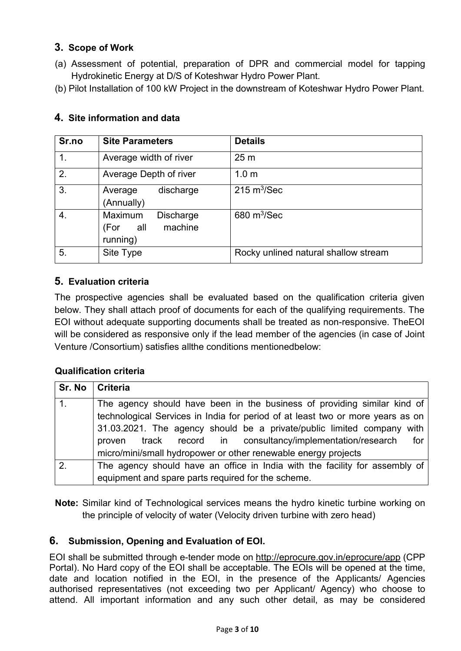### 3. Scope of Work

- (a) Assessment of potential, preparation of DPR and commercial model for tapping Hydrokinetic Energy at D/S of Koteshwar Hydro Power Plant.
- (b) Pilot Installation of 100 kW Project in the downstream of Koteshwar Hydro Power Plant.

| Sr.no | <b>Site Parameters</b>                                         | <b>Details</b>                       |
|-------|----------------------------------------------------------------|--------------------------------------|
| 1.    | Average width of river                                         | 25 <sub>m</sub>                      |
| 2.    | Average Depth of river                                         | 1.0 <sub>m</sub>                     |
| 3.    | discharge<br>Average<br>(Annually)                             | $215 \text{ m}^3/\text{Sec}$         |
| 4.    | Maximum<br><b>Discharge</b><br>machine<br>(For all<br>running) | 680 $m^3$ /Sec                       |
| 5.    | Site Type                                                      | Rocky unlined natural shallow stream |

#### 4. Site information and data

#### 5. Evaluation criteria

The prospective agencies shall be evaluated based on the qualification criteria given below. They shall attach proof of documents for each of the qualifying requirements. The EOI without adequate supporting documents shall be treated as non-responsive. TheEOI will be considered as responsive only if the lead member of the agencies (in case of Joint Venture /Consortium) satisfies allthe conditions mentionedbelow:

#### Qualification criteria

| Sr. No         | <b>Criteria</b>                                                                                                                                                                                                                                                                                                                                                                |  |
|----------------|--------------------------------------------------------------------------------------------------------------------------------------------------------------------------------------------------------------------------------------------------------------------------------------------------------------------------------------------------------------------------------|--|
|                | The agency should have been in the business of providing similar kind of<br>technological Services in India for period of at least two or more years as on<br>31.03.2021. The agency should be a private/public limited company with<br>track record in consultancy/implementation/research<br>for<br>proven<br>micro/mini/small hydropower or other renewable energy projects |  |
| 2 <sub>1</sub> | The agency should have an office in India with the facility for assembly of<br>equipment and spare parts required for the scheme.                                                                                                                                                                                                                                              |  |

Note: Similar kind of Technological services means the hydro kinetic turbine working on the principle of velocity of water (Velocity driven turbine with zero head)

#### 6. Submission, Opening and Evaluation of EOI.

EOI shall be submitted through e-tender mode on http://eprocure.gov.in/eprocure/app (CPP Portal). No Hard copy of the EOI shall be acceptable. The EOIs will be opened at the time, date and location notified in the EOI, in the presence of the Applicants/ Agencies authorised representatives (not exceeding two per Applicant/ Agency) who choose to attend. All important information and any such other detail, as may be considered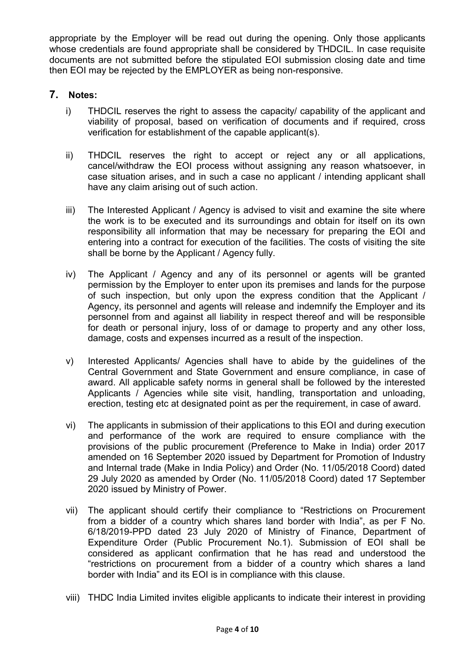appropriate by the Employer will be read out during the opening. Only those applicants whose credentials are found appropriate shall be considered by THDCIL. In case requisite documents are not submitted before the stipulated EOI submission closing date and time then EOI may be rejected by the EMPLOYER as being non-responsive.

#### 7. Notes:

- i) THDCIL reserves the right to assess the capacity/ capability of the applicant and viability of proposal, based on verification of documents and if required, cross verification for establishment of the capable applicant(s).
- ii) THDCIL reserves the right to accept or reject any or all applications, cancel/withdraw the EOI process without assigning any reason whatsoever, in case situation arises, and in such a case no applicant / intending applicant shall have any claim arising out of such action.
- iii) The Interested Applicant / Agency is advised to visit and examine the site where the work is to be executed and its surroundings and obtain for itself on its own responsibility all information that may be necessary for preparing the EOI and entering into a contract for execution of the facilities. The costs of visiting the site shall be borne by the Applicant / Agency fully.
- iv) The Applicant / Agency and any of its personnel or agents will be granted permission by the Employer to enter upon its premises and lands for the purpose of such inspection, but only upon the express condition that the Applicant / Agency, its personnel and agents will release and indemnify the Employer and its personnel from and against all liability in respect thereof and will be responsible for death or personal injury, loss of or damage to property and any other loss, damage, costs and expenses incurred as a result of the inspection.
- v) Interested Applicants/ Agencies shall have to abide by the guidelines of the Central Government and State Government and ensure compliance, in case of award. All applicable safety norms in general shall be followed by the interested Applicants / Agencies while site visit, handling, transportation and unloading, erection, testing etc at designated point as per the requirement, in case of award.
- vi) The applicants in submission of their applications to this EOI and during execution and performance of the work are required to ensure compliance with the provisions of the public procurement (Preference to Make in India) order 2017 amended on 16 September 2020 issued by Department for Promotion of Industry and Internal trade (Make in India Policy) and Order (No. 11/05/2018 Coord) dated 29 July 2020 as amended by Order (No. 11/05/2018 Coord) dated 17 September 2020 issued by Ministry of Power.
- vii) The applicant should certify their compliance to "Restrictions on Procurement from a bidder of a country which shares land border with India", as per F No. 6/18/2019-PPD dated 23 July 2020 of Ministry of Finance, Department of Expenditure Order (Public Procurement No.1). Submission of EOI shall be considered as applicant confirmation that he has read and understood the "restrictions on procurement from a bidder of a country which shares a land border with India" and its EOI is in compliance with this clause.
- viii) THDC India Limited invites eligible applicants to indicate their interest in providing